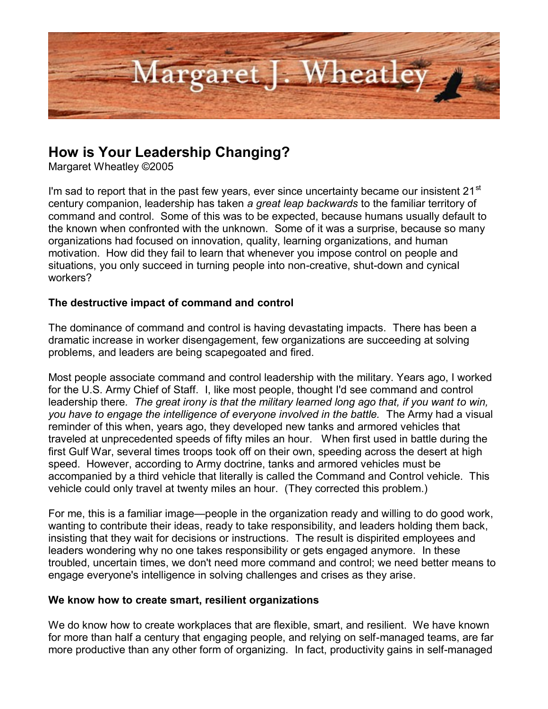

# **How is Your Leadership Changing?**

Margaret Wheatley ©2005

I'm sad to report that in the past few years, ever since uncertainty became our insistent  $21<sup>st</sup>$ century companion, leadership has taken *a great leap backwards* to the familiar territory of command and control. Some of this was to be expected, because humans usually default to the known when confronted with the unknown. Some of it was a surprise, because so many organizations had focused on innovation, quality, learning organizations, and human motivation. How did they fail to learn that whenever you impose control on people and situations, you only succeed in turning people into non-creative, shut-down and cynical workers?

## **The destructive impact of command and control**

The dominance of command and control is having devastating impacts. There has been a dramatic increase in worker disengagement, few organizations are succeeding at solving problems, and leaders are being scapegoated and fired.

Most people associate command and control leadership with the military. Years ago, I worked for the U.S. Army Chief of Staff. I, like most people, thought I'd see command and control leadership there*. The great irony is that the military learned long ago that, if you want to win, you have to engage the intelligence of everyone involved in the battle.* The Army had a visual reminder of this when, years ago, they developed new tanks and armored vehicles that traveled at unprecedented speeds of fifty miles an hour. When first used in battle during the first Gulf War, several times troops took off on their own, speeding across the desert at high speed. However, according to Army doctrine, tanks and armored vehicles must be accompanied by a third vehicle that literally is called the Command and Control vehicle. This vehicle could only travel at twenty miles an hour. (They corrected this problem.)

For me, this is a familiar image—people in the organization ready and willing to do good work, wanting to contribute their ideas, ready to take responsibility, and leaders holding them back, insisting that they wait for decisions or instructions. The result is dispirited employees and leaders wondering why no one takes responsibility or gets engaged anymore. In these troubled, uncertain times, we don't need more command and control; we need better means to engage everyone's intelligence in solving challenges and crises as they arise.

## **We know how to create smart, resilient organizations**

We do know how to create workplaces that are flexible, smart, and resilient. We have known for more than half a century that engaging people, and relying on self-managed teams, are far more productive than any other form of organizing. In fact, productivity gains in self-managed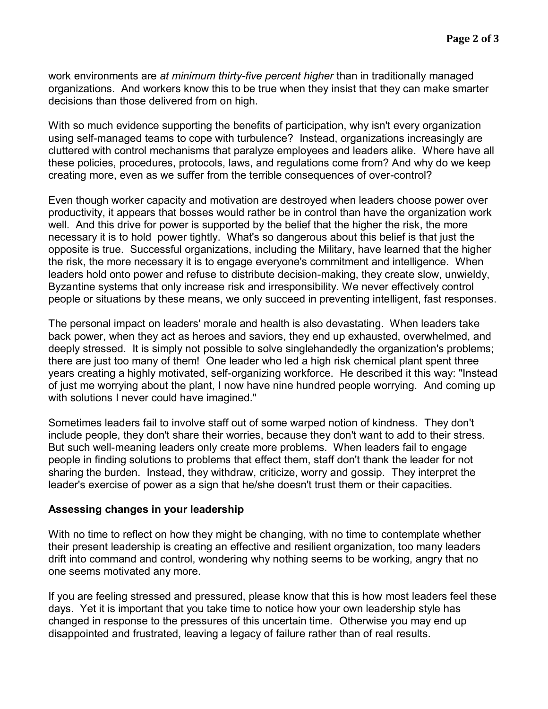work environments are *at minimum thirty-five percent higher* than in traditionally managed organizations. And workers know this to be true when they insist that they can make smarter decisions than those delivered from on high.

With so much evidence supporting the benefits of participation, why isn't every organization using self-managed teams to cope with turbulence? Instead, organizations increasingly are cluttered with control mechanisms that paralyze employees and leaders alike. Where have all these policies, procedures, protocols, laws, and regulations come from? And why do we keep creating more, even as we suffer from the terrible consequences of over-control?

Even though worker capacity and motivation are destroyed when leaders choose power over productivity, it appears that bosses would rather be in control than have the organization work well. And this drive for power is supported by the belief that the higher the risk, the more necessary it is to hold power tightly. What's so dangerous about this belief is that just the opposite is true. Successful organizations, including the Military, have learned that the higher the risk, the more necessary it is to engage everyone's commitment and intelligence. When leaders hold onto power and refuse to distribute decision-making, they create slow, unwieldy, Byzantine systems that only increase risk and irresponsibility. We never effectively control people or situations by these means, we only succeed in preventing intelligent, fast responses.

The personal impact on leaders' morale and health is also devastating. When leaders take back power, when they act as heroes and saviors, they end up exhausted, overwhelmed, and deeply stressed. It is simply not possible to solve singlehandedly the organization's problems; there are just too many of them! One leader who led a high risk chemical plant spent three years creating a highly motivated, self-organizing workforce. He described it this way: "Instead of just me worrying about the plant, I now have nine hundred people worrying. And coming up with solutions I never could have imagined."

Sometimes leaders fail to involve staff out of some warped notion of kindness. They don't include people, they don't share their worries, because they don't want to add to their stress. But such well-meaning leaders only create more problems. When leaders fail to engage people in finding solutions to problems that effect them, staff don't thank the leader for not sharing the burden. Instead, they withdraw, criticize, worry and gossip. They interpret the leader's exercise of power as a sign that he/she doesn't trust them or their capacities.

#### **Assessing changes in your leadership**

With no time to reflect on how they might be changing, with no time to contemplate whether their present leadership is creating an effective and resilient organization, too many leaders drift into command and control, wondering why nothing seems to be working, angry that no one seems motivated any more.

If you are feeling stressed and pressured, please know that this is how most leaders feel these days. Yet it is important that you take time to notice how your own leadership style has changed in response to the pressures of this uncertain time. Otherwise you may end up disappointed and frustrated, leaving a legacy of failure rather than of real results.